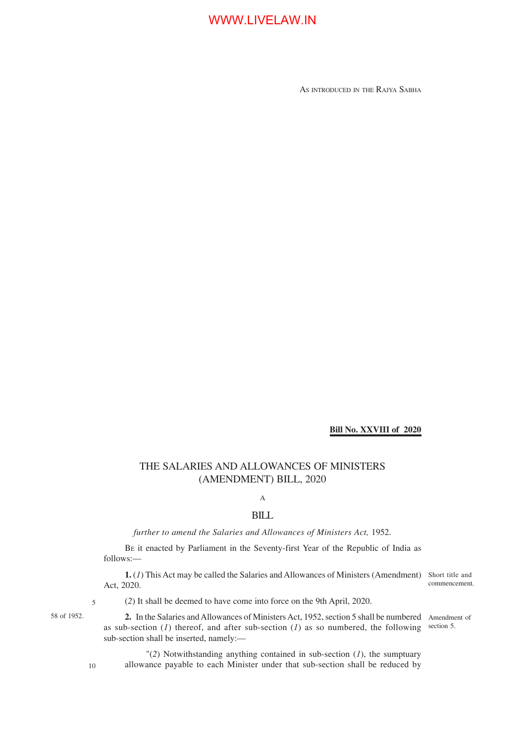AS INTRODUCED IN THE RAJYA SABHA

**Bill No. XXVIII of 2020**

### THE SALARIES AND ALLOWANCES OF MINISTERS (AMENDMENT) BILL, 2020

### A

#### BILL

*further to amend the Salaries and Allowances of Ministers Act,* 1952.

BE it enacted by Parliament in the Seventy-first Year of the Republic of India as follows:—

**1.** (*1*) This Act may be called the Salaries and Allowances of Ministers (Amendment) Act, 2020.

Short title and commencement.

58 of 1952.

(*2*) It shall be deemed to have come into force on the 9th April, 2020.

2. In the Salaries and Allowances of Ministers Act, 1952, section 5 shall be numbered Amendment of as sub-section (*1*) thereof, and after sub-section (*1*) as so numbered, the following sub-section shall be inserted, namely: section 5.

"(*2*) Notwithstanding anything contained in sub-section (*1*), the sumptuary allowance payable to each Minister under that sub-section shall be reduced by

10

5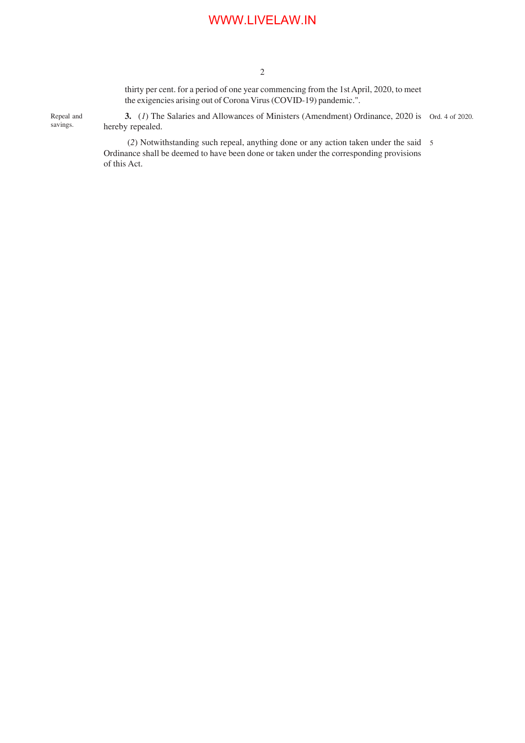2

savings.

thirty per cent. for a period of one year commencing from the 1st April, 2020, to meet the exigencies arising out of Corona Virus (COVID-19) pandemic.".

**3.** (*1*) The Salaries and Allowances of Ministers (Amendment) Ordinance, 2020 is Ord. 4 of 2020. hereby repealed. Repeal and

> (*2*) Notwithstanding such repeal, anything done or any action taken under the said 5 Ordinance shall be deemed to have been done or taken under the corresponding provisions of this Act.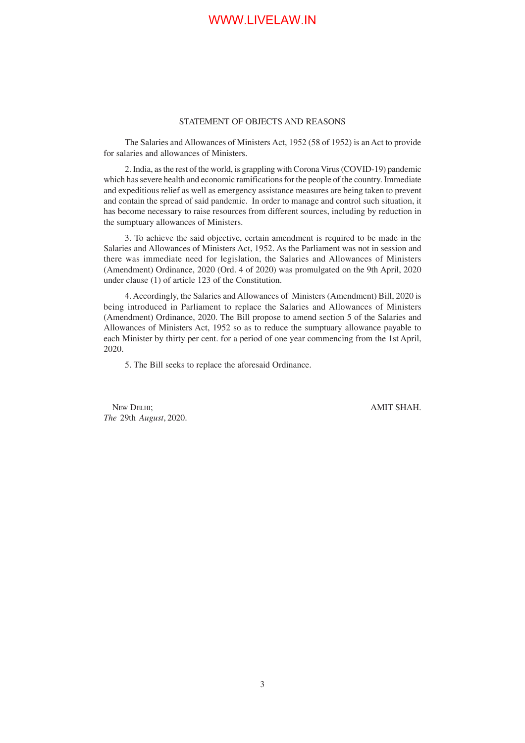#### STATEMENT OF OBJECTS AND REASONS

The Salaries and Allowances of Ministers Act, 1952 (58 of 1952) is an Act to provide for salaries and allowances of Ministers.

2. India, as the rest of the world, is grappling with Corona Virus (COVID-19) pandemic which has severe health and economic ramifications for the people of the country. Immediate and expeditious relief as well as emergency assistance measures are being taken to prevent and contain the spread of said pandemic. In order to manage and control such situation, it has become necessary to raise resources from different sources, including by reduction in the sumptuary allowances of Ministers.

3. To achieve the said objective, certain amendment is required to be made in the Salaries and Allowances of Ministers Act, 1952. As the Parliament was not in session and there was immediate need for legislation, the Salaries and Allowances of Ministers (Amendment) Ordinance, 2020 (Ord. 4 of 2020) was promulgated on the 9th April, 2020 under clause (1) of article 123 of the Constitution.

4. Accordingly, the Salaries and Allowances of Ministers (Amendment) Bill, 2020 is being introduced in Parliament to replace the Salaries and Allowances of Ministers (Amendment) Ordinance, 2020. The Bill propose to amend section 5 of the Salaries and Allowances of Ministers Act, 1952 so as to reduce the sumptuary allowance payable to each Minister by thirty per cent. for a period of one year commencing from the 1st April, 2020.

5. The Bill seeks to replace the aforesaid Ordinance.

NEW DELHI; AMIT SHAH. *The* 29th *August*, 2020.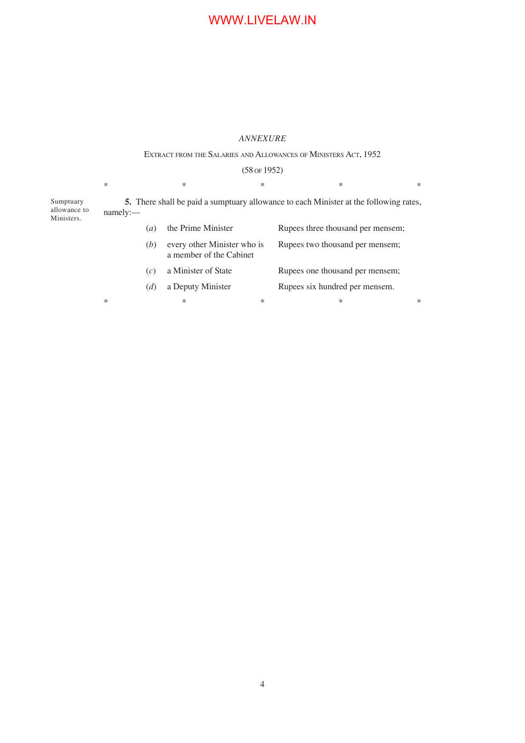#### *ANNEXURE*

#### EXTRACT FROM THE SALARIES AND ALLOWANCES OF MINISTERS ACT, 1952

## (58 OF 1952)  $*$   $*$   $*$   $*$   $*$   $*$   $*$

**5.** There shall be paid a sumptuary allowance to each Minister at the following rates, namely:— Sumptuary allowance to Ministers.

|        | $\left(a\right)$ | the Prime Minister                                     |        | Rupees three thousand per mensem; |   |
|--------|------------------|--------------------------------------------------------|--------|-----------------------------------|---|
|        | (b)              | every other Minister who is<br>a member of the Cabinet |        | Rupees two thousand per mensem;   |   |
|        | (c)              | a Minister of State                                    |        | Rupees one thousand per mensem;   |   |
|        | (d)              | a Deputy Minister                                      |        | Rupees six hundred per mensem.    |   |
| $\ast$ |                  | ∗                                                      | $\ast$ | *                                 | * |